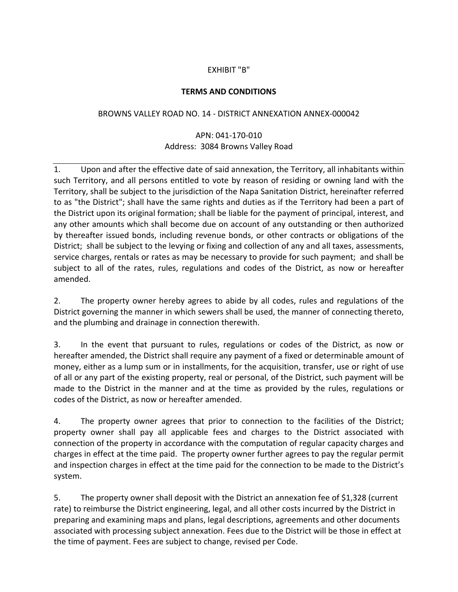## EXHIBIT "B"

## **TERMS AND CONDITIONS**

## BROWNS VALLEY ROAD NO. 14 ‐ DISTRICT ANNEXATION ANNEX‐000042

## APN: 041‐170‐010 Address: 3084 Browns Valley Road

1. Upon and after the effective date of said annexation, the Territory, all inhabitants within such Territory, and all persons entitled to vote by reason of residing or owning land with the Territory, shall be subject to the jurisdiction of the Napa Sanitation District, hereinafter referred to as "the District"; shall have the same rights and duties as if the Territory had been a part of the District upon its original formation; shall be liable for the payment of principal, interest, and any other amounts which shall become due on account of any outstanding or then authorized by thereafter issued bonds, including revenue bonds, or other contracts or obligations of the District; shall be subject to the levying or fixing and collection of any and all taxes, assessments, service charges, rentals or rates as may be necessary to provide for such payment; and shall be subject to all of the rates, rules, regulations and codes of the District, as now or hereafter amended.

2. The property owner hereby agrees to abide by all codes, rules and regulations of the District governing the manner in which sewers shall be used, the manner of connecting thereto, and the plumbing and drainage in connection therewith.

3. In the event that pursuant to rules, regulations or codes of the District, as now or hereafter amended, the District shall require any payment of a fixed or determinable amount of money, either as a lump sum or in installments, for the acquisition, transfer, use or right of use of all or any part of the existing property, real or personal, of the District, such payment will be made to the District in the manner and at the time as provided by the rules, regulations or codes of the District, as now or hereafter amended.

4. The property owner agrees that prior to connection to the facilities of the District; property owner shall pay all applicable fees and charges to the District associated with connection of the property in accordance with the computation of regular capacity charges and charges in effect at the time paid. The property owner further agrees to pay the regular permit and inspection charges in effect at the time paid for the connection to be made to the District's system.

5. The property owner shall deposit with the District an annexation fee of \$1,328 (current rate) to reimburse the District engineering, legal, and all other costs incurred by the District in preparing and examining maps and plans, legal descriptions, agreements and other documents associated with processing subject annexation. Fees due to the District will be those in effect at the time of payment. Fees are subject to change, revised per Code.